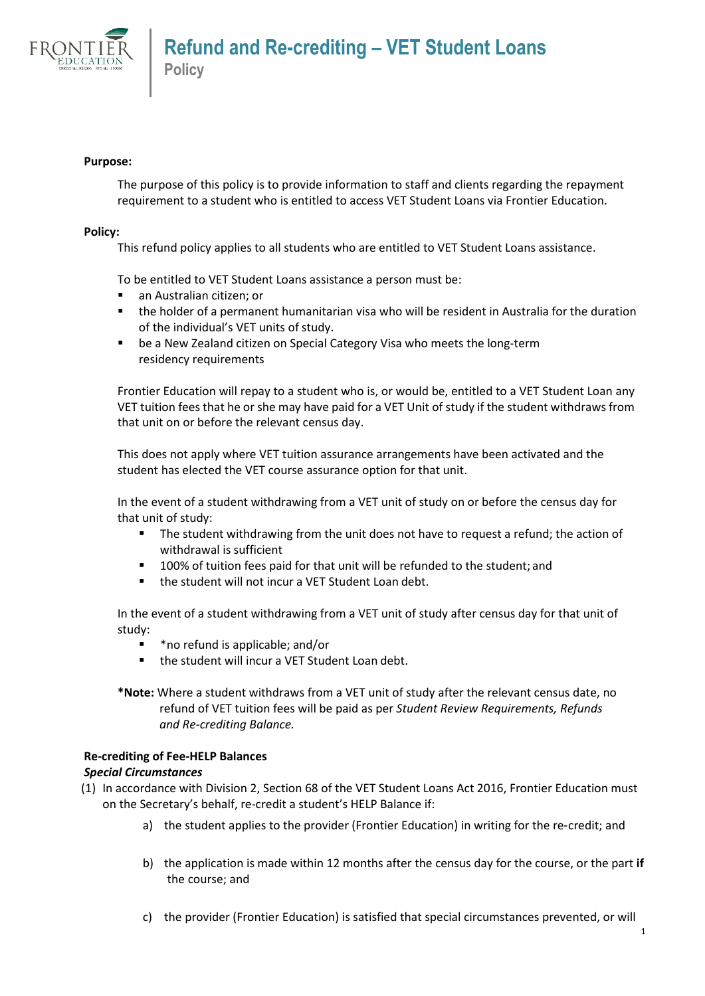

## **Purpose:**

The purpose of this policy is to provide information to staff and clients regarding the repayment requirement to a student who is entitled to access VET Student Loans via Frontier Education.

## **Policy:**

This refund policy applies to all students who are entitled to VET Student Loans assistance.

To be entitled to VET Student Loans assistance a person must be:

- an Australian citizen: or
- the holder of a permanent humanitarian visa who will be resident in Australia for the duration of the individual's VET units of study.
- be a New Zealand citizen on Special Category Visa who meets the long-term residency requirements

Frontier Education will repay to a student who is, or would be, entitled to a VET Student Loan any VET tuition fees that he or she may have paid for a VET Unit of study if the student withdraws from that unit on or before the relevant census day.

This does not apply where VET tuition assurance arrangements have been activated and the student has elected the VET course assurance option for that unit.

In the event of a student withdrawing from a VET unit of study on or before the census day for that unit of study:

- The student withdrawing from the unit does not have to request a refund; the action of withdrawal is sufficient
- **100% of tuition fees paid for that unit will be refunded to the student; and**
- the student will not incur a VET Student Loan debt.

In the event of a student withdrawing from a VET unit of study after census day for that unit of study:

- \*no refund is applicable; and/or
- the student will incur a VET Student Loan debt.

**\*Note:** Where a student withdraws from a VET unit of study after the relevant census date, no refund of VET tuition fees will be paid as per *Student Review Requirements, Refunds and Re-crediting Balance.*

# **Re-crediting of Fee-HELP Balances**

#### *Special Circumstances*

- (1) In accordance with Division 2, Section 68 of the VET Student Loans Act 2016, Frontier Education must on the Secretary's behalf, re-credit a student's HELP Balance if:
	- a) the student applies to the provider (Frontier Education) in writing for the re-credit; and
	- b) the application is made within 12 months after the census day for the course, or the part **if**  the course; and
	- c) the provider (Frontier Education) is satisfied that special circumstances prevented, or will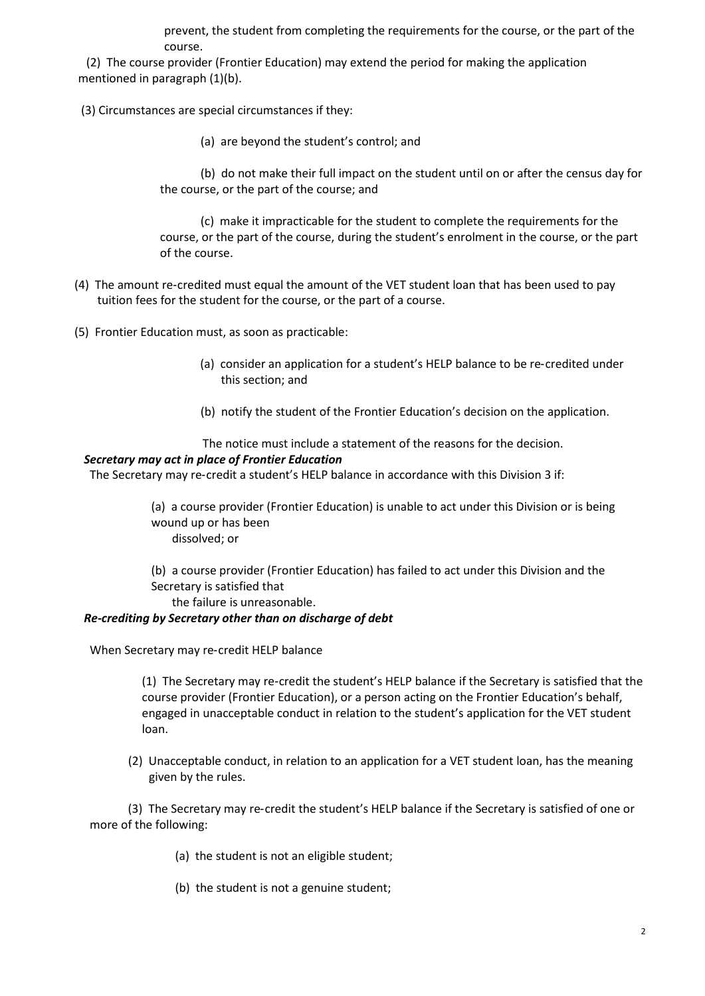prevent, the student from completing the requirements for the course, or the part of the course.

 (2) The course provider (Frontier Education) may extend the period for making the application mentioned in paragraph (1)(b).

- (3) Circumstances are special circumstances if they:
	- (a) are beyond the student's control; and

 (b) do not make their full impact on the student until on or after the census day for the course, or the part of the course; and

 (c) make it impracticable for the student to complete the requirements for the course, or the part of the course, during the student's enrolment in the course, or the part of the course.

- (4) The amount re‑credited must equal the amount of the VET student loan that has been used to pay tuition fees for the student for the course, or the part of a course.
- (5) Frontier Education must, as soon as practicable:
	- (a) consider an application for a student's HELP balance to be re‑credited under this section; and
	- (b) notify the student of the Frontier Education's decision on the application.

The notice must include a statement of the reasons for the decision.

#### *Secretary may act in place of Frontier Education*

The Secretary may re-credit a student's HELP balance in accordance with this Division 3 if:

(a) a course provider (Frontier Education) is unable to act under this Division or is being wound up or has been dissolved; or

(b) a course provider (Frontier Education) has failed to act under this Division and the Secretary is satisfied that

the failure is unreasonable.

#### *Re-crediting by Secretary other than on discharge of debt*

When Secretary may re‑credit HELP balance

(1) The Secretary may re‑credit the student's HELP balance if the Secretary is satisfied that the course provider (Frontier Education), or a person acting on the Frontier Education's behalf, engaged in unacceptable conduct in relation to the student's application for the VET student loan.

(2) Unacceptable conduct, in relation to an application for a VET student loan, has the meaning given by the rules.

(3) The Secretary may re-credit the student's HELP balance if the Secretary is satisfied of one or more of the following:

- (a) the student is not an eligible student;
- (b) the student is not a genuine student;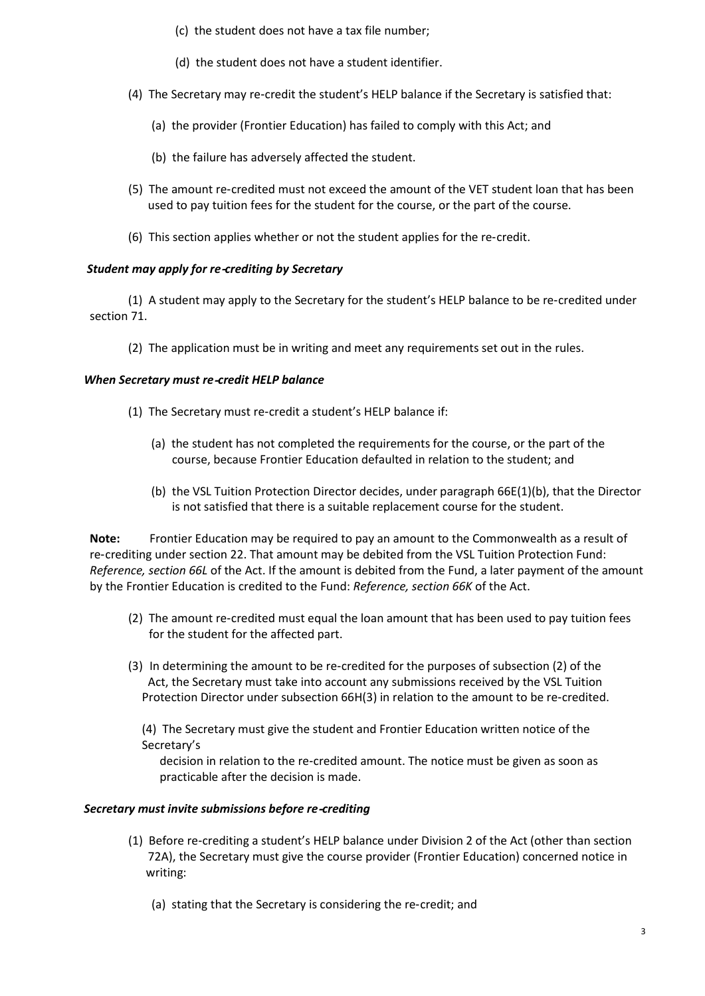- (c) the student does not have a tax file number;
- (d) the student does not have a student identifier.
- (4) The Secretary may re-credit the student's HELP balance if the Secretary is satisfied that:
	- (a) the provider (Frontier Education) has failed to comply with this Act; and
	- (b) the failure has adversely affected the student.
- (5) The amount re‑credited must not exceed the amount of the VET student loan that has been used to pay tuition fees for the student for the course, or the part of the course.
- (6) This section applies whether or not the student applies for the re‑credit.

# *Student may apply for re*‑*crediting by Secretary*

 (1) A student may apply to the Secretary for the student's HELP balance to be re‑credited under section 71.

(2) The application must be in writing and meet any requirements set out in the rules.

# *When Secretary must re*‑*credit HELP balance*

- (1) The Secretary must re-credit a student's HELP balance if:
	- (a) the student has not completed the requirements for the course, or the part of the course, because Frontier Education defaulted in relation to the student; and
	- (b) the VSL Tuition Protection Director decides, under paragraph 66E(1)(b), that the Director is not satisfied that there is a suitable replacement course for the student.

**Note:** Frontier Education may be required to pay an amount to the Commonwealth as a result of re-crediting under section 22. That amount may be debited from the VSL Tuition Protection Fund: *Reference, section 66L* of the Act. If the amount is debited from the Fund, a later payment of the amount by the Frontier Education is credited to the Fund: *Reference, section 66K* of the Act.

- (2) The amount re‑credited must equal the loan amount that has been used to pay tuition fees for the student for the affected part.
- (3) In determining the amount to be re‑credited for the purposes of subsection (2) of the Act, the Secretary must take into account any submissions received by the VSL Tuition Protection Director under subsection 66H(3) in relation to the amount to be re-credited.

(4) The Secretary must give the student and Frontier Education written notice of the Secretary's

 decision in relation to the re‑credited amount. The notice must be given as soon as practicable after the decision is made.

# *Secretary must invite submissions before re*‑*crediting*

- (1) Before re‑crediting a student's HELP balance under Division 2 of the Act (other than section 72A), the Secretary must give the course provider (Frontier Education) concerned notice in writing:
	- (a) stating that the Secretary is considering the re‑credit; and